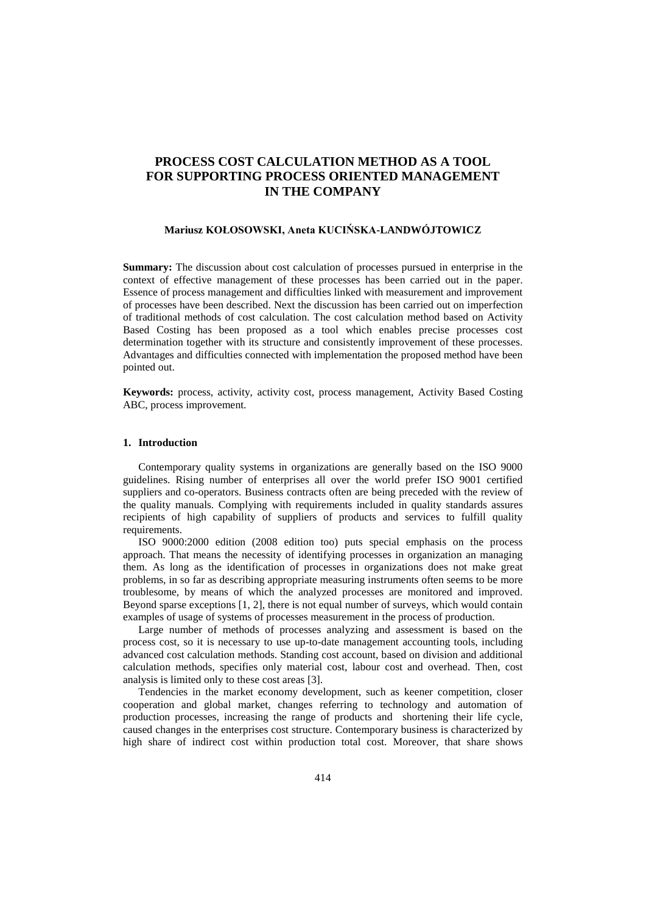# **PROCESS COST CALCULATION METHOD AS A TOOL FOR SUPPORTING PROCESS ORIENTED MANAGEMENT IN THE COMPANY**

### **Mariusz KOŁOSOWSKI, Aneta KUCIŃSKA-LANDWÓJTOWICZ**

**Summary:** The discussion about cost calculation of processes pursued in enterprise in the context of effective management of these processes has been carried out in the paper. Essence of process management and difficulties linked with measurement and improvement of processes have been described. Next the discussion has been carried out on imperfection of traditional methods of cost calculation. The cost calculation method based on Activity Based Costing has been proposed as a tool which enables precise processes cost determination together with its structure and consistently improvement of these processes. Advantages and difficulties connected with implementation the proposed method have been pointed out.

**Keywords:** process, activity, activity cost, process management, Activity Based Costing ABC, process improvement.

## **1. Introduction**

Contemporary quality systems in organizations are generally based on the ISO 9000 guidelines. Rising number of enterprises all over the world prefer ISO 9001 certified suppliers and co-operators. Business contracts often are being preceded with the review of the quality manuals. Complying with requirements included in quality standards assures recipients of high capability of suppliers of products and services to fulfill quality requirements.

ISO 9000:2000 edition (2008 edition too) puts special emphasis on the process approach. That means the necessity of identifying processes in organization an managing them. As long as the identification of processes in organizations does not make great problems, in so far as describing appropriate measuring instruments often seems to be more troublesome, by means of which the analyzed processes are monitored and improved. Beyond sparse exceptions [1, 2], there is not equal number of surveys, which would contain examples of usage of systems of processes measurement in the process of production.

Large number of methods of processes analyzing and assessment is based on the process cost, so it is necessary to use up-to-date management accounting tools, including advanced cost calculation methods. Standing cost account, based on division and additional calculation methods, specifies only material cost, labour cost and overhead. Then, cost analysis is limited only to these cost areas [3].

Tendencies in the market economy development, such as keener competition, closer cooperation and global market, changes referring to technology and automation of production processes, increasing the range of products and shortening their life cycle, caused changes in the enterprises cost structure. Contemporary business is characterized by high share of indirect cost within production total cost. Moreover, that share shows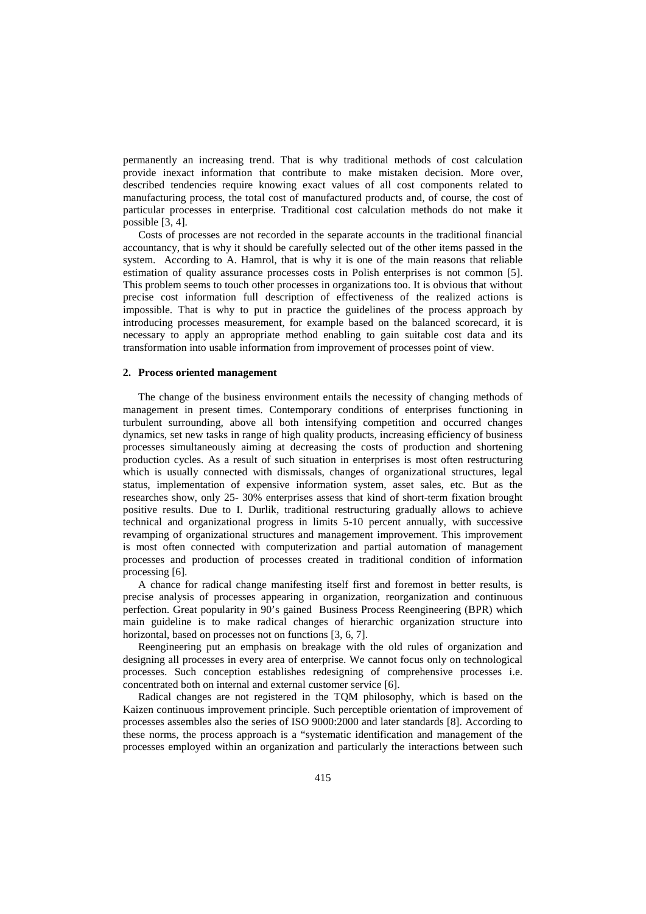permanently an increasing trend. That is why traditional methods of cost calculation provide inexact information that contribute to make mistaken decision. More over, described tendencies require knowing exact values of all cost components related to manufacturing process, the total cost of manufactured products and, of course, the cost of particular processes in enterprise. Traditional cost calculation methods do not make it possible [3, 4].

Costs of processes are not recorded in the separate accounts in the traditional financial accountancy, that is why it should be carefully selected out of the other items passed in the system. According to A. Hamrol, that is why it is one of the main reasons that reliable estimation of quality assurance processes costs in Polish enterprises is not common [5]. This problem seems to touch other processes in organizations too. It is obvious that without precise cost information full description of effectiveness of the realized actions is impossible. That is why to put in practice the guidelines of the process approach by introducing processes measurement, for example based on the balanced scorecard, it is necessary to apply an appropriate method enabling to gain suitable cost data and its transformation into usable information from improvement of processes point of view.

#### **2. Process oriented management**

The change of the business environment entails the necessity of changing methods of management in present times. Contemporary conditions of enterprises functioning in turbulent surrounding, above all both intensifying competition and occurred changes dynamics, set new tasks in range of high quality products, increasing efficiency of business processes simultaneously aiming at decreasing the costs of production and shortening production cycles. As a result of such situation in enterprises is most often restructuring which is usually connected with dismissals, changes of organizational structures, legal status, implementation of expensive information system, asset sales, etc. But as the researches show, only 25- 30% enterprises assess that kind of short-term fixation brought positive results. Due to I. Durlik, traditional restructuring gradually allows to achieve technical and organizational progress in limits 5-10 percent annually, with successive revamping of organizational structures and management improvement. This improvement is most often connected with computerization and partial automation of management processes and production of processes created in traditional condition of information processing [6].

A chance for radical change manifesting itself first and foremost in better results, is precise analysis of processes appearing in organization, reorganization and continuous perfection. Great popularity in 90's gained Business Process Reengineering (BPR) which main guideline is to make radical changes of hierarchic organization structure into horizontal, based on processes not on functions [3, 6, 7].

Reengineering put an emphasis on breakage with the old rules of organization and designing all processes in every area of enterprise. We cannot focus only on technological processes. Such conception establishes redesigning of comprehensive processes i.e. concentrated both on internal and external customer service [6].

Radical changes are not registered in the TQM philosophy, which is based on the Kaizen continuous improvement principle. Such perceptible orientation of improvement of processes assembles also the series of ISO 9000:2000 and later standards [8]. According to these norms, the process approach is a "systematic identification and management of the processes employed within an organization and particularly the interactions between such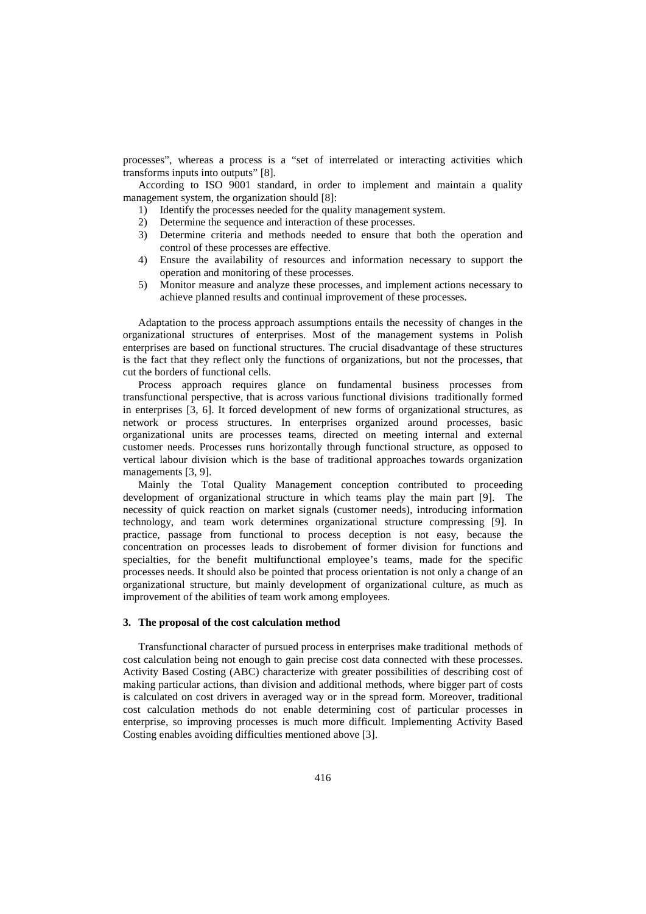processes", whereas a process is a "set of interrelated or interacting activities which transforms inputs into outputs" [8].

According to ISO 9001 standard, in order to implement and maintain a quality management system, the organization should [8]:

- 1) Identify the processes needed for the quality management system.
- 2) Determine the sequence and interaction of these processes.
- 3) Determine criteria and methods needed to ensure that both the operation and control of these processes are effective.
- 4) Ensure the availability of resources and information necessary to support the operation and monitoring of these processes.
- 5) Monitor measure and analyze these processes, and implement actions necessary to achieve planned results and continual improvement of these processes.

Adaptation to the process approach assumptions entails the necessity of changes in the organizational structures of enterprises. Most of the management systems in Polish enterprises are based on functional structures. The crucial disadvantage of these structures is the fact that they reflect only the functions of organizations, but not the processes, that cut the borders of functional cells.

Process approach requires glance on fundamental business processes from transfunctional perspective, that is across various functional divisions traditionally formed in enterprises [3, 6]. It forced development of new forms of organizational structures, as network or process structures. In enterprises organized around processes, basic organizational units are processes teams, directed on meeting internal and external customer needs. Processes runs horizontally through functional structure, as opposed to vertical labour division which is the base of traditional approaches towards organization managements [3, 9].

Mainly the Total Quality Management conception contributed to proceeding development of organizational structure in which teams play the main part [9]. The necessity of quick reaction on market signals (customer needs), introducing information technology, and team work determines organizational structure compressing [9]. In practice, passage from functional to process deception is not easy, because the concentration on processes leads to disrobement of former division for functions and specialties, for the benefit multifunctional employee's teams, made for the specific processes needs. It should also be pointed that process orientation is not only a change of an organizational structure, but mainly development of organizational culture, as much as improvement of the abilities of team work among employees.

## **3. The proposal of the cost calculation method**

Transfunctional character of pursued process in enterprises make traditional methods of cost calculation being not enough to gain precise cost data connected with these processes. Activity Based Costing (ABC) characterize with greater possibilities of describing cost of making particular actions, than division and additional methods, where bigger part of costs is calculated on cost drivers in averaged way or in the spread form. Moreover, traditional cost calculation methods do not enable determining cost of particular processes in enterprise, so improving processes is much more difficult. Implementing Activity Based Costing enables avoiding difficulties mentioned above [3].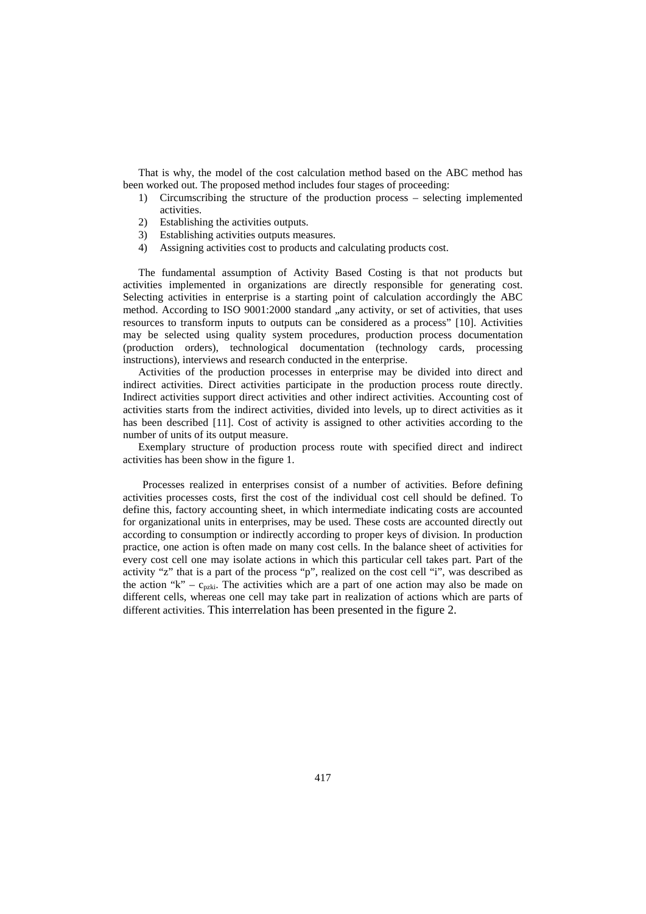That is why, the model of the cost calculation method based on the ABC method has been worked out. The proposed method includes four stages of proceeding:

- 1) Circumscribing the structure of the production process selecting implemented activities.
- 2) Establishing the activities outputs.
- 3) Establishing activities outputs measures.
- 4) Assigning activities cost to products and calculating products cost.

The fundamental assumption of Activity Based Costing is that not products but activities implemented in organizations are directly responsible for generating cost. Selecting activities in enterprise is a starting point of calculation accordingly the ABC method. According to ISO 9001:2000 standard "any activity, or set of activities, that uses resources to transform inputs to outputs can be considered as a process" [10]. Activities may be selected using quality system procedures, production process documentation (production orders), technological documentation (technology cards, processing instructions), interviews and research conducted in the enterprise.

Activities of the production processes in enterprise may be divided into direct and indirect activities. Direct activities participate in the production process route directly. Indirect activities support direct activities and other indirect activities. Accounting cost of activities starts from the indirect activities, divided into levels, up to direct activities as it has been described [11]. Cost of activity is assigned to other activities according to the number of units of its output measure.

Exemplary structure of production process route with specified direct and indirect activities has been show in the figure 1.

Processes realized in enterprises consist of a number of activities. Before defining activities processes costs, first the cost of the individual cost cell should be defined. To define this, factory accounting sheet, in which intermediate indicating costs are accounted for organizational units in enterprises, may be used. These costs are accounted directly out according to consumption or indirectly according to proper keys of division. In production practice, one action is often made on many cost cells. In the balance sheet of activities for every cost cell one may isolate actions in which this particular cell takes part. Part of the activity "z" that is a part of the process "p", realized on the cost cell "i", was described as the action "k" –  $c_{pzki}$ . The activities which are a part of one action may also be made on different cells, whereas one cell may take part in realization of actions which are parts of different activities. This interrelation has been presented in the figure 2.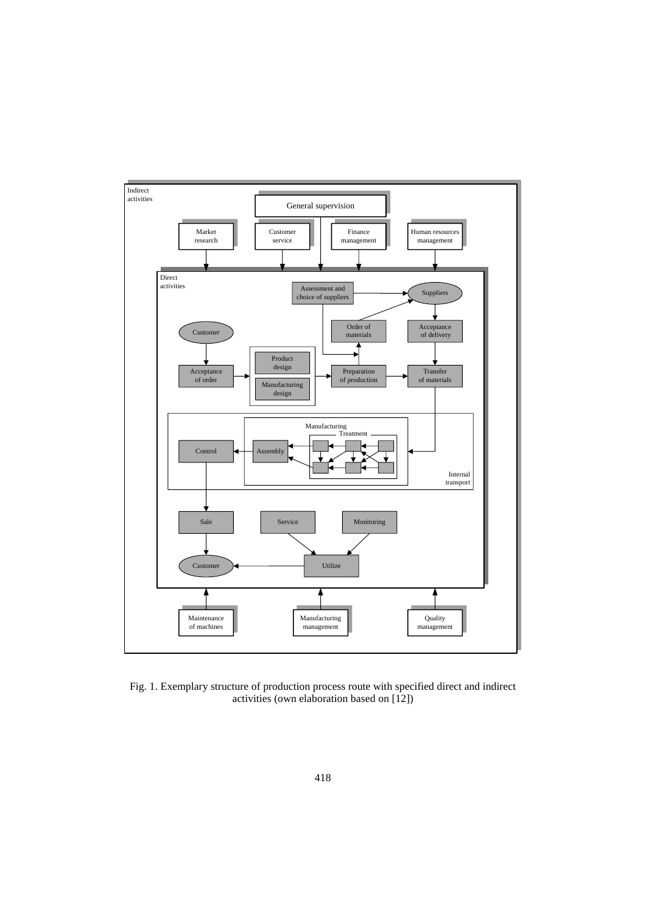

Fig. 1. Exemplary structure of production process route with specified direct and indirect activities (own elaboration based on [12])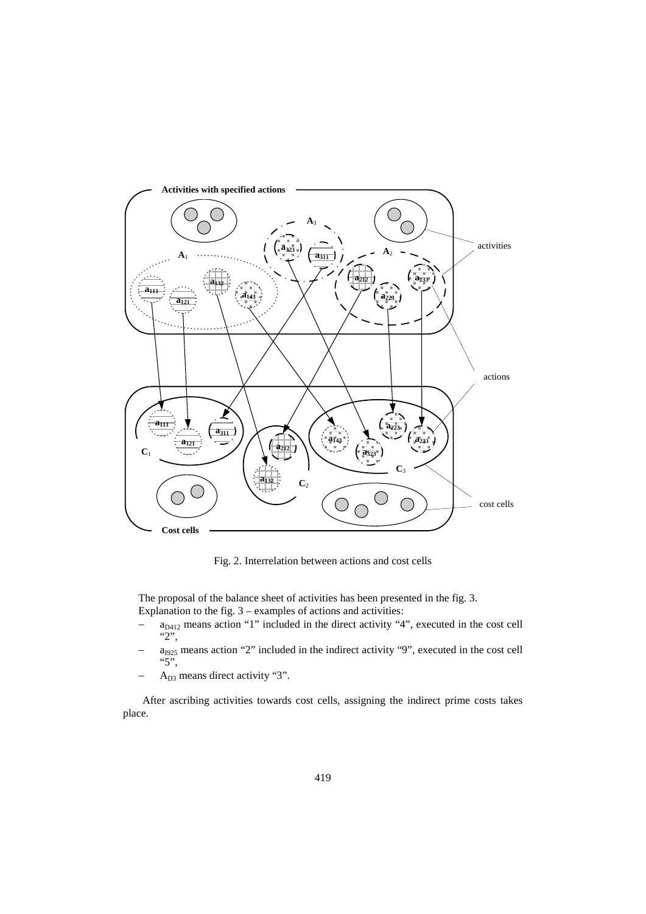

Fig. 2. Interrelation between actions and cost cells

The proposal of the balance sheet of activities has been presented in the fig. 3. Explanation to the fig.  $3$  – examples of actions and activities:

- $a_{D412}$  means action "1" included in the direct activity "4", executed in the cost cell "2",
- $a<sub>1925</sub>$  means action "2" included in the indirect activity "9", executed in the cost cell "5",
- A<sub>D3</sub> means direct activity "3".

After ascribing activities towards cost cells, assigning the indirect prime costs takes place.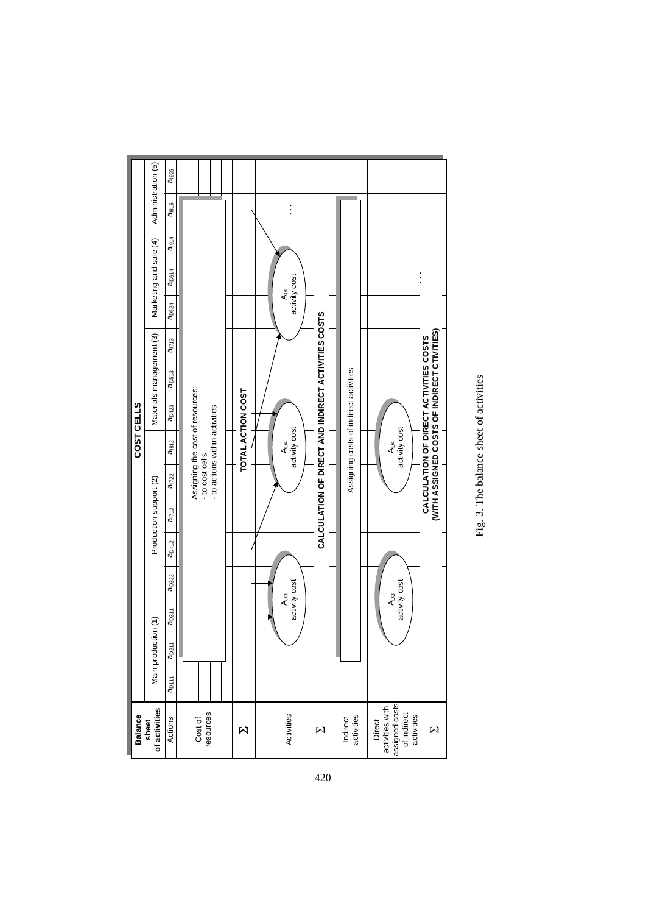



420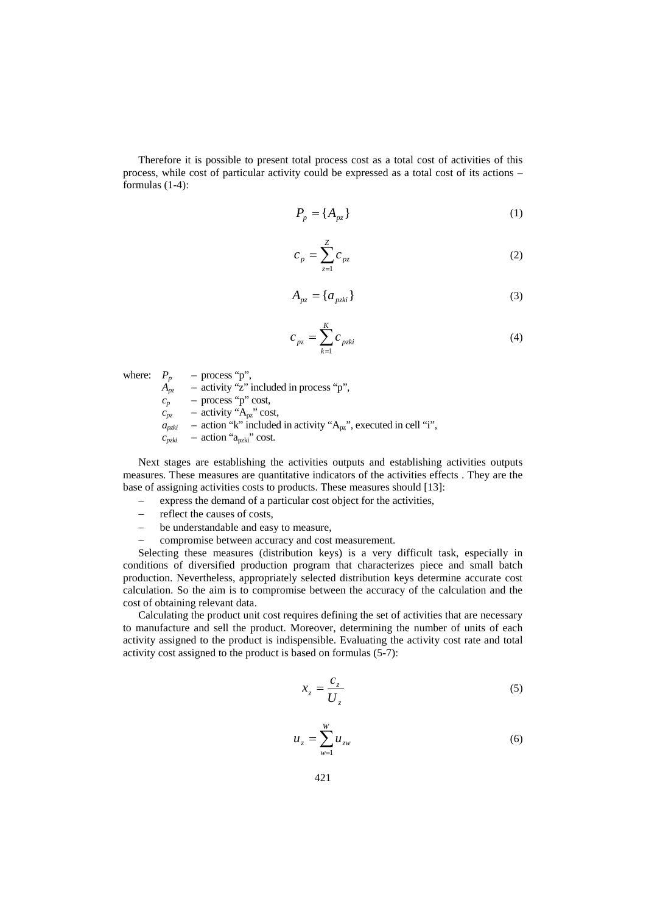Therefore it is possible to present total process cost as a total cost of activities of this process, while cost of particular activity could be expressed as a total cost of its actions – formulas (1-4):

$$
P_p = \{A_{pz}\}\tag{1}
$$

$$
c_p = \sum_{z=1}^{Z} c_{pz} \tag{2}
$$

$$
A_{pz} = \{a_{pzki}\}\tag{3}
$$

$$
c_{pz} = \sum_{k=1}^{K} c_{pzki}
$$
 (4)

where:  $P_p$  – process "p",

 $A_{pz}$  – activity "z" included in process "p",

 $c_p$  – process "p" cost,

 $c_{pz}$  – activity " $A_{pz}$ " cost,

 $a_{pzhi}$  – action "k" included in activity "A<sub>pz</sub>", executed in cell "i",

 $c_{pzki}$  – action " $a_{pzki}$ " cost.

Next stages are establishing the activities outputs and establishing activities outputs measures. These measures are quantitative indicators of the activities effects . They are the base of assigning activities costs to products. These measures should [13]:

- express the demand of a particular cost object for the activities,
- − reflect the causes of costs,
- − be understandable and easy to measure,
- compromise between accuracy and cost measurement.

Selecting these measures (distribution keys) is a very difficult task, especially in conditions of diversified production program that characterizes piece and small batch production. Nevertheless, appropriately selected distribution keys determine accurate cost calculation. So the aim is to compromise between the accuracy of the calculation and the cost of obtaining relevant data.

Calculating the product unit cost requires defining the set of activities that are necessary to manufacture and sell the product. Moreover, determining the number of units of each activity assigned to the product is indispensible. Evaluating the activity cost rate and total activity cost assigned to the product is based on formulas (5-7):

$$
x_z = \frac{c_z}{U_z} \tag{5}
$$

$$
u_{z} = \sum_{w=1}^{W} u_{zw}
$$
 (6)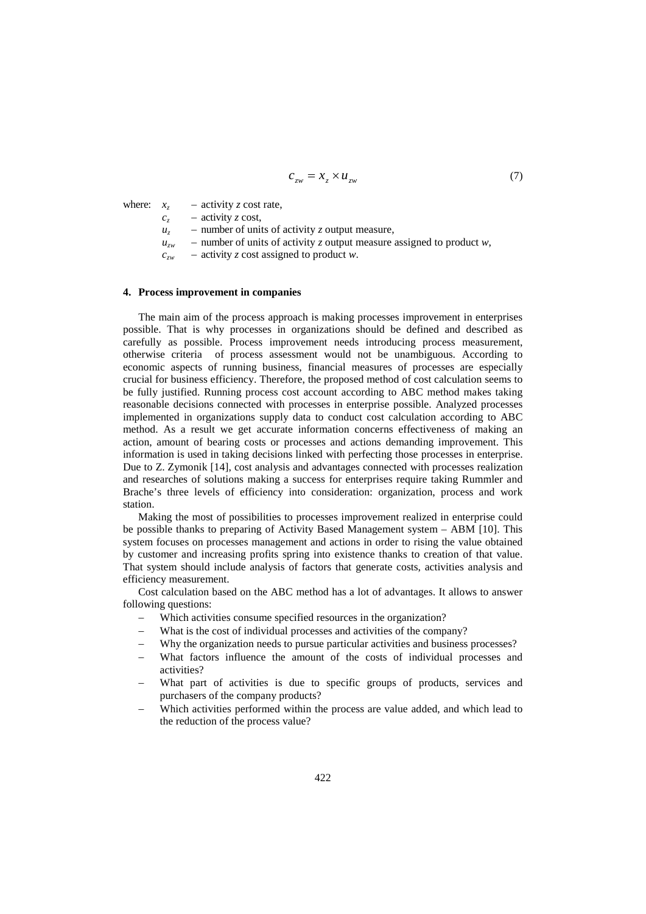$$
c_{zw} = x_z \times u_{zw} \tag{7}
$$

where:  $x_z$  – activity *z* cost rate,

 $c_z$  – activity *z* cost,

 $u_z$  – number of units of activity *z* output measure,

- $u_{zw}$  number of units of activity *z* output measure assigned to product *w*,
- *czw* activity *z* cost assigned to product *w*.

# **4. Process improvement in companies**

The main aim of the process approach is making processes improvement in enterprises possible. That is why processes in organizations should be defined and described as carefully as possible. Process improvement needs introducing process measurement, otherwise criteria of process assessment would not be unambiguous. According to economic aspects of running business, financial measures of processes are especially crucial for business efficiency. Therefore, the proposed method of cost calculation seems to be fully justified. Running process cost account according to ABC method makes taking reasonable decisions connected with processes in enterprise possible. Analyzed processes implemented in organizations supply data to conduct cost calculation according to ABC method. As a result we get accurate information concerns effectiveness of making an action, amount of bearing costs or processes and actions demanding improvement. This information is used in taking decisions linked with perfecting those processes in enterprise. Due to Z. Zymonik [14], cost analysis and advantages connected with processes realization and researches of solutions making a success for enterprises require taking Rummler and Brache's three levels of efficiency into consideration: organization, process and work station.

Making the most of possibilities to processes improvement realized in enterprise could be possible thanks to preparing of Activity Based Management system – ABM [10]. This system focuses on processes management and actions in order to rising the value obtained by customer and increasing profits spring into existence thanks to creation of that value. That system should include analysis of factors that generate costs, activities analysis and efficiency measurement.

Cost calculation based on the ABC method has a lot of advantages. It allows to answer following questions:

- Which activities consume specified resources in the organization?
- What is the cost of individual processes and activities of the company?
- Why the organization needs to pursue particular activities and business processes?
- What factors influence the amount of the costs of individual processes and activities?
- What part of activities is due to specific groups of products, services and purchasers of the company products?
- Which activities performed within the process are value added, and which lead to the reduction of the process value?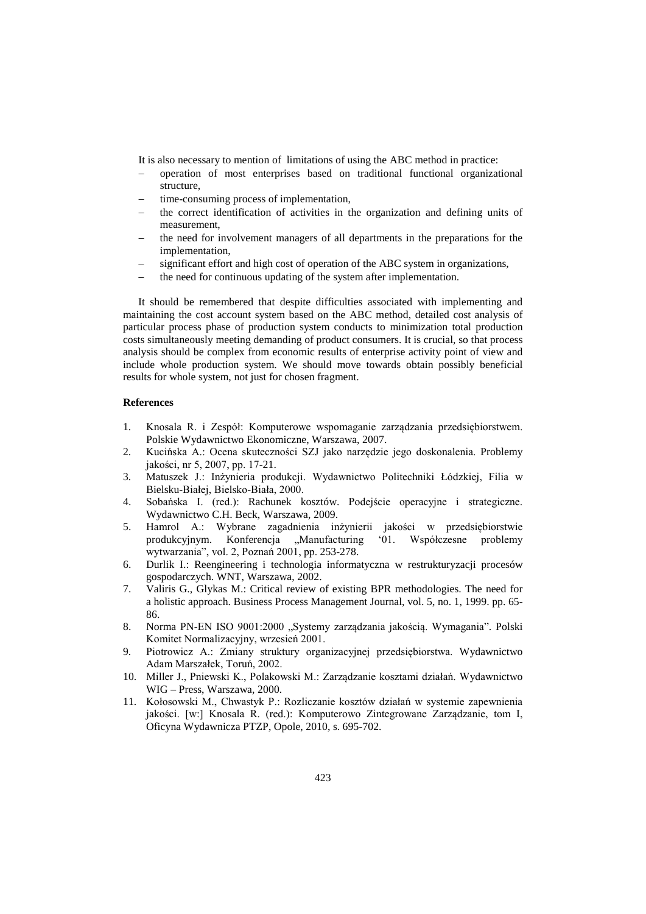It is also necessary to mention of limitations of using the ABC method in practice:

- − operation of most enterprises based on traditional functional organizational structure,
- time-consuming process of implementation,
- the correct identification of activities in the organization and defining units of measurement,
- the need for involvement managers of all departments in the preparations for the implementation,
- significant effort and high cost of operation of the ABC system in organizations,
- the need for continuous updating of the system after implementation.

It should be remembered that despite difficulties associated with implementing and maintaining the cost account system based on the ABC method, detailed cost analysis of particular process phase of production system conducts to minimization total production costs simultaneously meeting demanding of product consumers. It is crucial, so that process analysis should be complex from economic results of enterprise activity point of view and include whole production system. We should move towards obtain possibly beneficial results for whole system, not just for chosen fragment.

# **References**

- 1. Knosala R. i Zespół: Komputerowe wspomaganie zarządzania przedsiębiorstwem. Polskie Wydawnictwo Ekonomiczne, Warszawa, 2007.
- 2. Kucińska A.: Ocena skuteczności SZJ jako narzędzie jego doskonalenia. Problemy jakości, nr 5, 2007, pp. 17-21.
- 3. Matuszek J.: Inżynieria produkcji. Wydawnictwo Politechniki Łódzkiej, Filia w Bielsku-Białej, Bielsko-Biała, 2000.
- 4. Sobańska I. (red.): Rachunek kosztów. Podejście operacyjne i strategiczne. Wydawnictwo C.H. Beck, Warszawa, 2009.
- 5. Hamrol A.: Wybrane zagadnienia inżynierii jakości w przedsiębiorstwie produkcyjnym. Konferencja "Manufacturing '01. Współczesne problemy wytwarzania", vol. 2, Poznań 2001, pp. 253-278.
- 6. Durlik I.: Reengineering i technologia informatyczna w restrukturyzacji procesów gospodarczych. WNT, Warszawa, 2002.
- 7. Valiris G., Glykas M.: Critical review of existing BPR methodologies. The need for a holistic approach. Business Process Management Journal, vol. 5, no. 1, 1999. pp. 65- 86.
- 8. Norma PN-EN ISO 9001:2000 "Systemy zarządzania jakością. Wymagania". Polski Komitet Normalizacyjny, wrzesień 2001.
- 9. Piotrowicz A.: Zmiany struktury organizacyjnej przedsiębiorstwa. Wydawnictwo Adam Marszałek, Toruń, 2002.
- 10. Miller J., Pniewski K., Polakowski M.: Zarządzanie kosztami działań. Wydawnictwo WIG – Press, Warszawa, 2000.
- 11. Kołosowski M., Chwastyk P.: Rozliczanie kosztów działań w systemie zapewnienia jakości. [w:] Knosala R. (red.): Komputerowo Zintegrowane Zarządzanie, tom I, Oficyna Wydawnicza PTZP, Opole, 2010, s. 695-702.